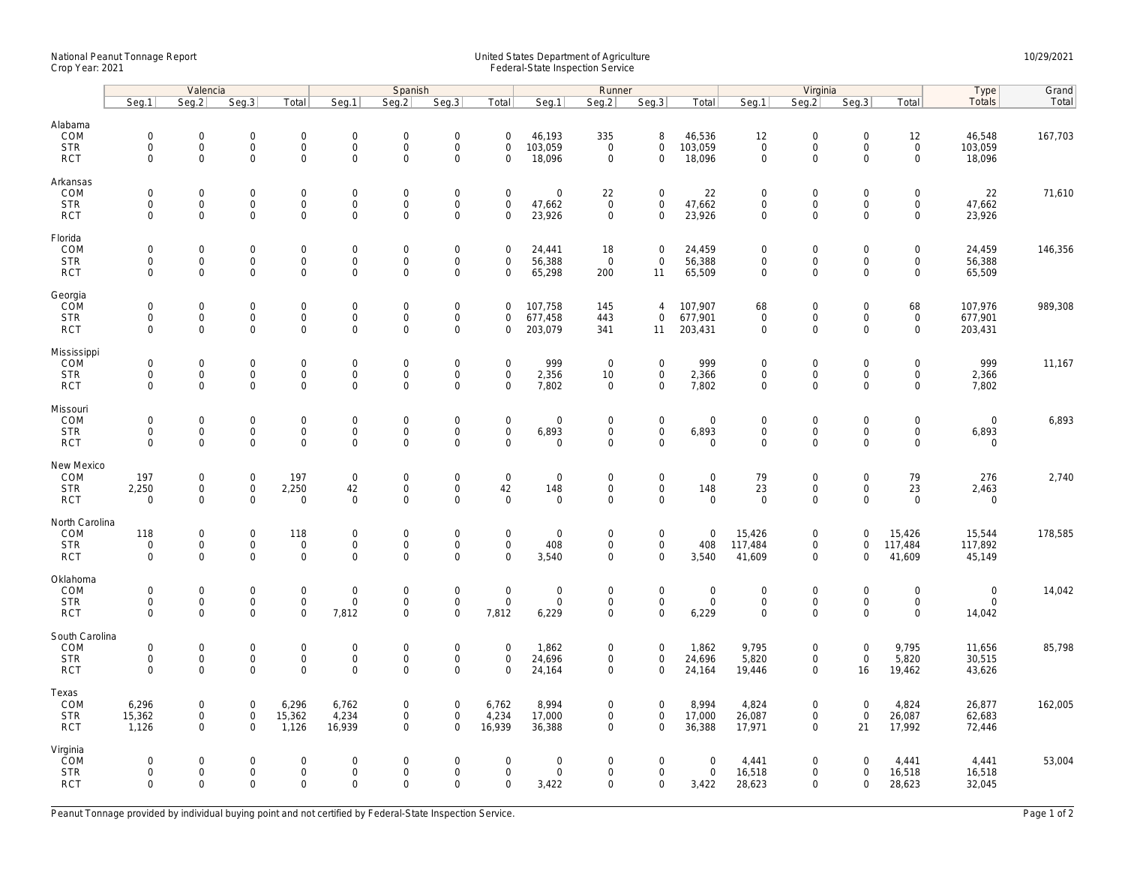## National Peanut Tonnage Report United States Department of Agriculture 10/29/2021<br>Crop Year: 2021 Federal-State Inspection Service

|                                                    | Valencia                                                  |                                                           |                                                            | Spanish                                              |                                                        |                                                        |                                                      |                                                           | Runner                                      |                                           |                                                            |                                          | Virginia                                                  |                                                                   | Type                                                      | Grand                                                             |                                        |         |
|----------------------------------------------------|-----------------------------------------------------------|-----------------------------------------------------------|------------------------------------------------------------|------------------------------------------------------|--------------------------------------------------------|--------------------------------------------------------|------------------------------------------------------|-----------------------------------------------------------|---------------------------------------------|-------------------------------------------|------------------------------------------------------------|------------------------------------------|-----------------------------------------------------------|-------------------------------------------------------------------|-----------------------------------------------------------|-------------------------------------------------------------------|----------------------------------------|---------|
|                                                    | Seq.1                                                     | Seq.2                                                     | Seg.3                                                      | Total                                                | Seg.1                                                  | Seq.2                                                  | Seq.3                                                | Total                                                     | Seg.1                                       | Seq.2                                     | Seq.3                                                      | Total                                    | Seg.1                                                     | Seq.2                                                             | Seq.3                                                     | Total                                                             | Totals                                 | Total   |
| Alabama<br>COM<br><b>STR</b><br><b>RCT</b>         | $\mathbf 0$<br>$\mathsf{O}\xspace$<br>$\mathsf{O}\xspace$ | $\mathbf 0$<br>$\mathsf{O}\xspace$<br>$\mathbf 0$         | $\mathbf 0$<br>$\mathsf{O}\xspace$<br>$\mathbf{0}$         | $\mathbf 0$<br>$\mathsf{O}$<br>0                     | $\mathbf{0}$<br>$\mathsf 0$<br>$\mathsf{O}\xspace$     | $\mathbf 0$<br>$\mathsf{O}\xspace$<br>$\mathbf 0$      | $\mathbf 0$<br>$\mathsf{O}\xspace$<br>$\mathbf 0$    | $\mathbf 0$<br>$\mathsf{O}\xspace$<br>$\mathbf 0$         | 46,193<br>103,059<br>18,096                 | 335<br>$\mathsf 0$<br>$\mathbf 0$         | 8<br>$\mathsf{O}$<br>$\mathbf 0$                           | 46,536<br>103,059<br>18,096              | 12<br>$\mathsf{O}\xspace$<br>$\mathsf{O}\xspace$          | $\mathbf 0$<br>$\mathsf{O}\xspace$<br>$\mathsf{O}\xspace$         | $\mathbf 0$<br>$\mathsf{O}\xspace$<br>$\mathbf 0$         | 12<br>$\mathsf 0$<br>$\mathsf{O}\xspace$                          | 46,548<br>103,059<br>18,096            | 167,703 |
| Arkansas<br>COM<br><b>STR</b><br><b>RCT</b>        | $\mathsf{O}\xspace$<br>$\mathbf 0$<br>$\mathbf 0$         | $\mathbf 0$<br>$\mathbf 0$<br>$\mathbf 0$                 | $\mathsf{O}\xspace$<br>$\mathbf 0$<br>$\mathsf{O}\xspace$  | 0<br>0<br>$\mathsf{O}\xspace$                        | $\mathbf 0$<br>$\mathsf{O}$<br>$\mathsf{O}\xspace$     | $\mathsf{O}\xspace$<br>$\mathbf 0$<br>$\mathbf 0$      | $\mathbf 0$<br>$\mathbf 0$<br>$\mathbf 0$            | $\mathbf 0$<br>$\mathbf 0$<br>$\mathbf 0$                 | $\mathsf{O}\xspace$<br>47,662<br>23,926     | 22<br>$\mathsf{O}\xspace$<br>$\mathbf 0$  | $\mathbf 0$<br>$\mathbf 0$<br>$\mathsf{O}$                 | 22<br>47,662<br>23,926                   | $\mathbf 0$<br>$\mathbf 0$<br>$\mathsf{O}\xspace$         | $\mathsf{O}\xspace$<br>$\mathsf{O}\xspace$<br>$\mathsf{O}\xspace$ | $\mathsf{O}\xspace$<br>$\mathbf 0$<br>$\mathbf 0$         | $\mathsf{O}\xspace$<br>$\mathsf{O}\xspace$<br>$\mathsf{O}\xspace$ | 22<br>47,662<br>23,926                 | 71,610  |
| Florida<br>COM<br><b>STR</b><br><b>RCT</b>         | $\mathsf{O}\xspace$<br>$\mathsf{O}\xspace$<br>$\Omega$    | $\mathsf{O}\xspace$<br>$\mathsf{O}\xspace$<br>$\mathbf 0$ | $\mathbf 0$<br>$\mathsf{O}\xspace$<br>$\mathbf 0$          | 0<br>0<br>0                                          | $\mathbf 0$<br>$\mathsf{O}$<br>$\mathbf 0$             | $\mathbf 0$<br>$\mathbf 0$<br>$\mathbf 0$              | $\mathsf{O}\xspace$<br>$\mathbf 0$<br>$\overline{0}$ | $\mathbf 0$<br>$\mathbf 0$<br>$\mathbf 0$                 | 24,441<br>56,388<br>65,298                  | 18<br>$\mathbf 0$<br>200                  | $\mathbf 0$<br>$\mathbf 0$<br>11                           | 24,459<br>56,388<br>65,509               | $\mathbf 0$<br>$\mathbf 0$<br>$\mathbf 0$                 | $\mathsf{O}\xspace$<br>$\mathsf{O}\xspace$<br>$\mathbf 0$         | $\mathbf 0$<br>$\mathsf{O}\xspace$<br>$\Omega$            | $\mathsf{O}\xspace$<br>$\mathsf{O}\xspace$<br>$\mathbf 0$         | 24,459<br>56,388<br>65,509             | 146,356 |
| Georgia<br>COM<br><b>STR</b><br><b>RCT</b>         | $\mathsf{O}\xspace$<br>$\mathsf{O}\xspace$<br>$\mathbf 0$ | $\mathsf{O}\xspace$<br>$\mathbf 0$<br>$\Omega$            | $\mathsf{O}\xspace$<br>$\mathsf{O}\xspace$<br>$\mathbf 0$  | 0<br>0<br>0                                          | $\mathbf 0$<br>$\mathsf 0$<br>$\mathbf 0$              | $\mathsf{O}\xspace$<br>$\mathbf 0$<br>$\mathbf 0$      | $\mathsf{O}\xspace$<br>$\mathbf 0$<br>$\mathbf 0$    | $\mathbf 0$<br>$\mathsf{O}\xspace$<br>$\mathbf 0$         | 107,758<br>677,458<br>203,079               | 145<br>443<br>341                         | $\overline{4}$<br>$\mathbf 0$<br>11                        | 107,907<br>677,901<br>203,431            | 68<br>$\mathbf 0$<br>$\mathbf 0$                          | $\mathsf{O}\xspace$<br>$\mathsf{O}\xspace$<br>$\mathbf 0$         | $\mathsf{O}\xspace$<br>$\mathsf{O}\xspace$<br>$\Omega$    | 68<br>$\mathsf 0$<br>$\mathbf 0$                                  | 107,976<br>677,901<br>203,431          | 989,308 |
| Mississippi<br>COM<br><b>STR</b><br><b>RCT</b>     | $\mathbf 0$<br>$\mathsf{O}\xspace$<br>$\mathbf 0$         | $\mathbf 0$<br>$\mathbf 0$<br>$\mathbf 0$                 | $\mathbf 0$<br>$\mathsf{O}\xspace$<br>$\mathbf{0}$         | 0<br>0<br>0                                          | $\mathsf{O}\xspace$<br>$\boldsymbol{0}$<br>$\mathbf 0$ | $\mathsf{O}\xspace$<br>$\mathbf 0$<br>$\mathbf 0$      | $\mathbf 0$<br>$\mathsf{O}\xspace$<br>$\mathbf 0$    | $\mathbf 0$<br>$\mathsf{O}\xspace$<br>$\mathbf 0$         | 999<br>2,356<br>7,802                       | $\mathbf{0}$<br>10<br>$\mathbf 0$         | $\mathbf 0$<br>$\mathsf{O}\xspace$<br>$\mathbf 0$          | 999<br>2,366<br>7,802                    | $\mathsf{O}\xspace$<br>$\mathsf{O}\xspace$<br>$\mathbf 0$ | $\mathsf{O}\xspace$<br>$\mathsf{O}\xspace$<br>$\mathbf 0$         | $\mathbf 0$<br>$\mathsf{O}\xspace$<br>$\Omega$            | $\mathbf 0$<br>$\mathsf{O}\xspace$<br>$\mathbf 0$                 | 999<br>2,366<br>7,802                  | 11,167  |
| Missouri<br>COM<br><b>STR</b><br><b>RCT</b>        | $\mathsf{O}\xspace$<br>$\mathsf{O}\xspace$<br>$\mathbf 0$ | $\mathbf 0$<br>$\mathsf{O}\xspace$<br>$\mathbf 0$         | $\mathsf{O}\xspace$<br>0<br>$\mathbf 0$                    | 0<br>$\mathsf{O}\xspace$<br>$\overline{0}$           | $\mathbf 0$<br>$\boldsymbol{0}$<br>$\mathbf 0$         | $\mathbf 0$<br>$\mathsf{O}\xspace$<br>$\mathbf 0$      | $\mathbf 0$<br>$\mathsf{O}\xspace$<br>$\mathbf 0$    | $\mathsf{O}\xspace$<br>$\mathsf{O}\xspace$<br>$\mathbf 0$ | $\mathsf{O}\xspace$<br>6,893<br>$\mathbf 0$ | $\mathsf 0$<br>0<br>$\mathbf 0$           | $\mathbf 0$<br>$\mathsf{O}\xspace$<br>$\mathbf{0}$         | $\mathbf 0$<br>6,893<br>$\mathbf 0$      | $\mathbf 0$<br>$\mathsf{O}\xspace$<br>$\mathbf 0$         | $\mathsf{O}\xspace$<br>$\mathsf{O}\xspace$<br>$\mathbf 0$         | $\mathsf{O}\xspace$<br>$\mathsf{O}\xspace$<br>$\mathbf 0$ | $\mathbf 0$<br>$\mathsf{O}\xspace$<br>$\mathbf 0$                 | $\overline{0}$<br>6,893<br>$\mathbf 0$ | 6,893   |
| New Mexico<br>COM<br><b>STR</b><br><b>RCT</b>      | 197<br>2,250<br>$\mathbf 0$                               | $\mathbf 0$<br>$\mathsf{O}\xspace$<br>$\mathbf 0$         | $\mathbf 0$<br>$\mathbf 0$<br>$\mathbf 0$                  | 197<br>2,250<br>$\mathbf 0$                          | $\mathsf 0$<br>42<br>$\mathbf 0$                       | $\mathsf{O}\xspace$<br>$\mathbf{0}$<br>$\mathbf 0$     | $\mathsf{O}\xspace$<br>$\mathbf 0$<br>$\mathbf 0$    | $\mathsf{O}\xspace$<br>42<br>$\mathbf 0$                  | $\mathbf 0$<br>148<br>$\mathbf 0$           | $\mathbf 0$<br>$\mathbf 0$<br>0           | $\mathbf 0$<br>$\mathbf{0}$<br>$\mathbf 0$                 | $\mathbf 0$<br>148<br>$\mathbf 0$        | 79<br>23<br>$\mathbf 0$                                   | $\mathsf{O}\xspace$<br>$\mathsf{O}\xspace$<br>$\mathsf{O}\xspace$ | $\mathsf{O}\xspace$<br>$\mathbf 0$<br>$\Omega$            | 79<br>23<br>$\mathbf 0$                                           | 276<br>2,463<br>$\mathbf 0$            | 2,740   |
| North Carolina<br>COM<br><b>STR</b><br><b>RCT</b>  | 118<br>$\mathsf{O}\xspace$<br>$\mathbf 0$                 | $\mathbf 0$<br>$\mathsf{O}\xspace$<br>$\mathbf 0$         | $\mathsf{O}\xspace$<br>$\mathsf{O}\xspace$<br>$\mathbf{0}$ | 118<br>$\mathbf 0$<br>0                              | $\mathbf 0$<br>$\mathsf{O}\xspace$<br>$\mathbf 0$      | $\mathsf{O}\xspace$<br>$\mathbf 0$<br>$\mathbf 0$      | $\mathsf{O}\xspace$<br>$\mathbf 0$<br>$\mathbf 0$    | $\mathsf{O}\xspace$<br>$\mathsf{O}\xspace$<br>$\Omega$    | $\mathsf{O}\xspace$<br>408<br>3,540         | $\mathsf 0$<br>$\mathbf 0$<br>$\mathbf 0$ | $\mathbf 0$<br>$\mathsf{O}$<br>$\mathbf{0}$                | $\mathbf 0$<br>408<br>3,540              | 15,426<br>117,484<br>41,609                               | $\mathsf{O}\xspace$<br>$\mathsf{O}\xspace$<br>$\mathbf 0$         | $\mathsf{O}\xspace$<br>$\mathbf 0$<br>0                   | 15,426<br>117,484<br>41,609                                       | 15,544<br>117,892<br>45,149            | 178,585 |
| Oklahoma<br>COM<br><b>STR</b><br><b>RCT</b>        | $\mathbf 0$<br>$\mathbf 0$<br>$\mathbf 0$                 | $\mathbf 0$<br>$\mathsf{O}\xspace$<br>$\mathbf 0$         | $\mathsf{O}\xspace$<br>$\mathbf 0$<br>$\mathbf 0$          | $\mathbf 0$<br>0<br>0                                | $\boldsymbol{0}$<br>$\mathsf 0$<br>7,812               | $\mathbf 0$<br>$\mathbf 0$<br>$\mathbf 0$              | $\mathsf{O}\xspace$<br>$\mathbf 0$<br>$\mathbf 0$    | $\mathsf{O}\xspace$<br>$\mathbf 0$<br>7,812               | $\mathsf{O}\xspace$<br>$\mathbf 0$<br>6,229 | $\mathbf 0$<br>$\mathbf 0$<br>$\mathbf 0$ | $\mathsf{O}\xspace$<br>$\mathsf{O}\xspace$<br>$\mathbf{0}$ | $\boldsymbol{0}$<br>$\mathsf 0$<br>6,229 | $\mathbf 0$<br>$\mathbf 0$<br>$\mathbf 0$                 | $\mathsf{O}\xspace$<br>$\mathsf{O}\xspace$<br>$\mathbf 0$         | $\mathbf 0$<br>$\mathbf 0$<br>$\Omega$                    | $\mathsf{O}\xspace$<br>$\mathbf 0$<br>$\mathbf 0$                 | $\mathbf 0$<br>$\mathbf 0$<br>14,042   | 14,042  |
| South Carolina<br>COM<br><b>STR</b><br><b>RCT</b>  | $\mathsf{O}\xspace$<br>$\mathbf 0$<br>$\mathbf 0$         | $\mathbf 0$<br>$\mathsf{O}\xspace$<br>$\mathbf 0$         | $\mathsf{O}\xspace$<br>$\mathsf{O}\xspace$<br>$\mathbf 0$  | $\mathbf 0$<br>$\mathsf{O}\xspace$<br>$\overline{0}$ | $\overline{0}$<br>$\mathsf 0$<br>$\mathbf 0$           | $\mathbf 0$<br>$\mathbf 0$<br>$\mathbf 0$              | $\mathbf 0$<br>$\mathbf 0$<br>$\mathbf 0$            | $\mathsf{O}\xspace$<br>$\mathsf{O}\xspace$<br>$\mathbf 0$ | 1,862<br>24,696<br>24,164                   | $\mathsf 0$<br>$\mathsf 0$<br>$\mathbf 0$ | $\mathbf 0$<br>$\mathbf 0$<br>$\mathbf 0$                  | 1,862<br>24,696<br>24,164                | 9,795<br>5,820<br>19,446                                  | $\mathsf{O}\xspace$<br>$\mathsf{O}\xspace$<br>$\mathsf{O}\xspace$ | $\mathsf{O}\xspace$<br>$\mathsf{O}\xspace$<br>16          | 9,795<br>5,820<br>19,462                                          | 11,656<br>30,515<br>43,626             | 85,798  |
| Texas<br>COM<br><b>STR</b><br><b>RCT</b>           | 6,296<br>15,362<br>1,126                                  | $\mathsf{O}\xspace$<br>$\mathbf 0$<br>$\mathbf 0$         | $\mathsf{O}\xspace$<br>$\mathbf 0$<br>$\mathbf 0$          | 6,296<br>15,362<br>1,126                             | 6,762<br>4,234<br>16,939                               | $\mathsf{O}\xspace$<br>$\mathbf{0}$<br>$\mathbf 0$     | $\mathsf{O}\xspace$<br>$\mathbf 0$<br>$\mathbf 0$    | 6,762<br>4,234<br>16,939                                  | 8,994<br>17,000<br>36,388                   | 0<br>$\mathbf 0$<br>$\mathbf 0$           | $\mathbf 0$<br>$\mathbf{0}$<br>$\mathbf 0$                 | 8,994<br>17,000<br>36,388                | 4,824<br>26,087<br>17,971                                 | $\mathsf{O}\xspace$<br>$\mathbf 0$<br>$\mathbf 0$                 | $\mathsf{O}\xspace$<br>$\mathbf 0$<br>21                  | 4,824<br>26,087<br>17,992                                         | 26,877<br>62,683<br>72,446             | 162,005 |
| Virginia<br><b>COM</b><br><b>STR</b><br><b>RCT</b> | $\mathbf 0$<br>$\mathbf 0$<br>$\Omega$                    | $\mathbf 0$<br>$\mathbf 0$<br>$\Omega$                    | $\mathsf{O}\xspace$<br>$\mathsf{O}\xspace$<br>$\Omega$     | 0<br>$\mathsf{O}\xspace$<br>0                        | $\overline{0}$<br>$\mathbf 0$<br>$\Omega$              | $\mathsf{O}\xspace$<br>$\mathsf{O}\xspace$<br>$\Omega$ | $\mathbf 0$<br>$\mathbf 0$<br>$\Omega$               | $\mathbf 0$<br>$\mathsf{O}\xspace$<br>$\Omega$            | $\mathsf{O}\xspace$<br>$\mathbf 0$<br>3,422 | 0<br>0<br>$\Omega$                        | $\mathbf 0$<br>$\mathbf 0$<br>0                            | $\mathbf 0$<br>$\mathsf 0$<br>3,422      | 4,441<br>16,518<br>28,623                                 | $\mathsf{O}\xspace$<br>$\mathsf{O}\xspace$<br>$\Omega$            | $\mathbf 0$<br>$\mathbf 0$<br>$\Omega$                    | 4,441<br>16,518<br>28,623                                         | 4,441<br>16,518<br>32,045              | 53,004  |

Peanut Tonnage provided by individual buying point and not certified by Federal-State Inspection Service. Page 1 of 2